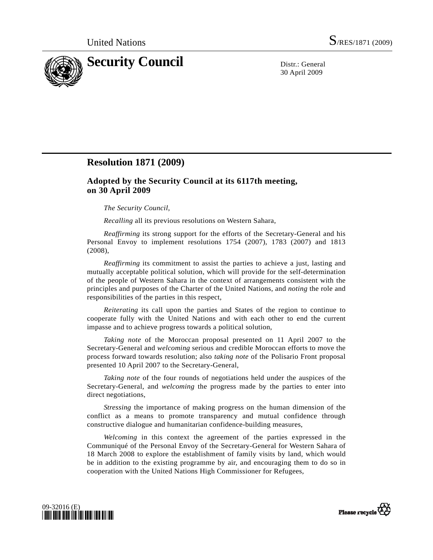

30 April 2009

## **Resolution 1871 (2009)**

## **Adopted by the Security Council at its 6117th meeting, on 30 April 2009**

*The Security Council*,

*Recalling* all its previous resolutions on Western Sahara,

*Reaffirming* its strong support for the efforts of the Secretary-General and his Personal Envoy to implement resolutions 1754 (2007), 1783 (2007) and 1813 (2008),

*Reaffirming* its commitment to assist the parties to achieve a just, lasting and mutually acceptable political solution, which will provide for the self-determination of the people of Western Sahara in the context of arrangements consistent with the principles and purposes of the Charter of the United Nations, and *noting* the role and responsibilities of the parties in this respect,

*Reiterating* its call upon the parties and States of the region to continue to cooperate fully with the United Nations and with each other to end the current impasse and to achieve progress towards a political solution,

*Taking note* of the Moroccan proposal presented on 11 April 2007 to the Secretary-General and *welcoming* serious and credible Moroccan efforts to move the process forward towards resolution; also *taking note* of the Polisario Front proposal presented 10 April 2007 to the Secretary-General,

*Taking note* of the four rounds of negotiations held under the auspices of the Secretary-General, and *welcoming* the progress made by the parties to enter into direct negotiations,

*Stressing* the importance of making progress on the human dimension of the conflict as a means to promote transparency and mutual confidence through constructive dialogue and humanitarian confidence-building measures,

*Welcoming* in this context the agreement of the parties expressed in the Communiqué of the Personal Envoy of the Secretary-General for Western Sahara of 18 March 2008 to explore the establishment of family visits by land, which would be in addition to the existing programme by air, and encouraging them to do so in cooperation with the United Nations High Commissioner for Refugees,



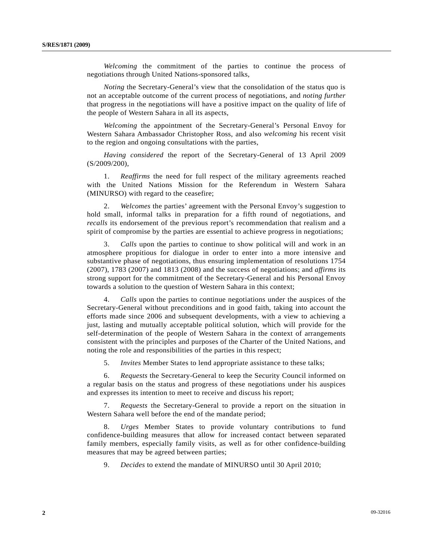*Welcoming* the commitment of the parties to continue the process of negotiations through United Nations-sponsored talks,

*Noting* the Secretary-General's view that the consolidation of the status quo is not an acceptable outcome of the current process of negotiations, and *noting further* that progress in the negotiations will have a positive impact on the quality of life of the people of Western Sahara in all its aspects,

*Welcoming* the appointment of the Secretary-General's Personal Envoy for Western Sahara Ambassador Christopher Ross, and also *welcoming* his recent visit to the region and ongoing consultations with the parties,

*Having considered* the report of the Secretary-General of 13 April 2009 (S/2009/200),

 1. *Reaffirms* the need for full respect of the military agreements reached with the United Nations Mission for the Referendum in Western Sahara (MINURSO) with regard to the ceasefire;

 2. *Welcomes* the parties' agreement with the Personal Envoy's suggestion to hold small, informal talks in preparation for a fifth round of negotiations, and *recalls* its endorsement of the previous report's recommendation that realism and a spirit of compromise by the parties are essential to achieve progress in negotiations;

 3. *Calls* upon the parties to continue to show political will and work in an atmosphere propitious for dialogue in order to enter into a more intensive and substantive phase of negotiations, thus ensuring implementation of resolutions 1754 (2007), 1783 (2007) and 1813 (2008) and the success of negotiations; and *affirms* its strong support for the commitment of the Secretary-General and his Personal Envoy towards a solution to the question of Western Sahara in this context;

 4. *Calls* upon the parties to continue negotiations under the auspices of the Secretary-General without preconditions and in good faith, taking into account the efforts made since 2006 and subsequent developments, with a view to achieving a just, lasting and mutually acceptable political solution, which will provide for the self-determination of the people of Western Sahara in the context of arrangements consistent with the principles and purposes of the Charter of the United Nations, and noting the role and responsibilities of the parties in this respect;

5. *Invites* Member States to lend appropriate assistance to these talks;

 6. *Requests* the Secretary-General to keep the Security Council informed on a regular basis on the status and progress of these negotiations under his auspices and expresses its intention to meet to receive and discuss his report;

 7. *Requests* the Secretary-General to provide a report on the situation in Western Sahara well before the end of the mandate period;

 8. *Urges* Member States to provide voluntary contributions to fund confidence-building measures that allow for increased contact between separated family members, especially family visits, as well as for other confidence-building measures that may be agreed between parties;

9. *Decides* to extend the mandate of MINURSO until 30 April 2010;